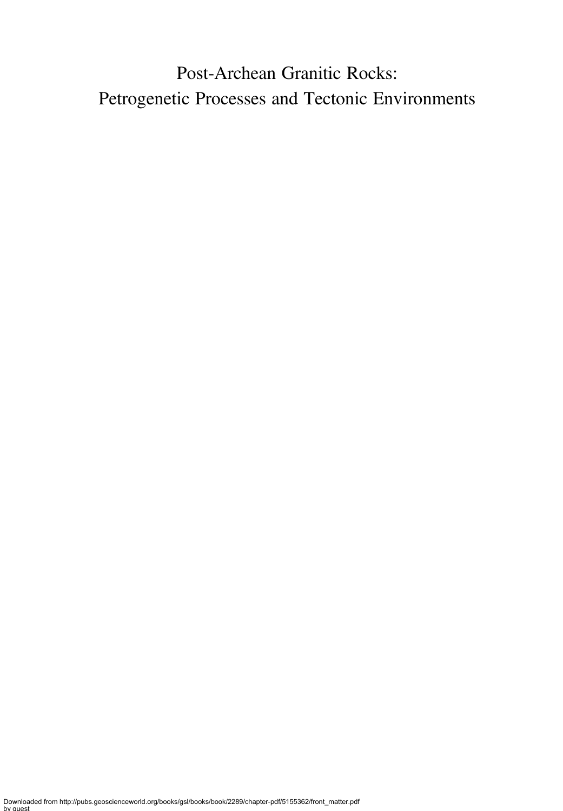# Post-Archean Granitic Rocks: Petrogenetic Processes and Tectonic Environments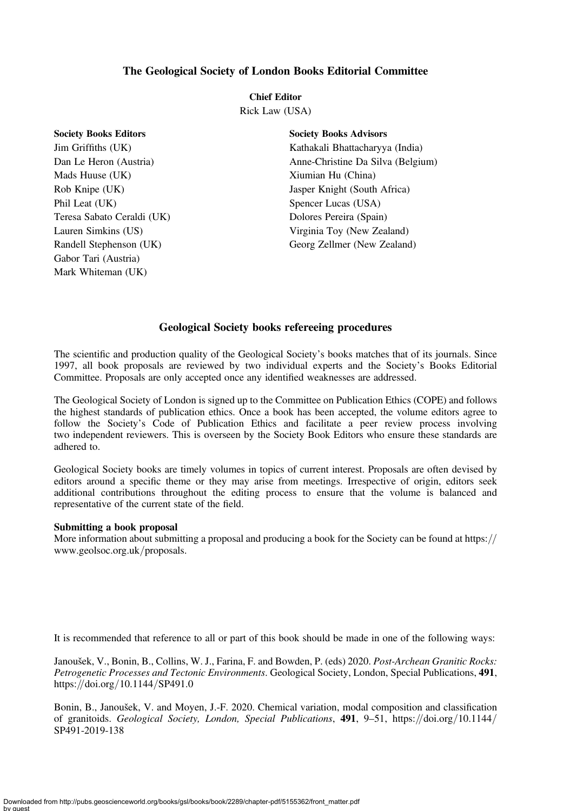## The Geological Society of London Books Editorial Committee

### Chief Editor

Rick Law (USA)

| SOCIETY BOOKS EQITORS      |
|----------------------------|
| Jim Griffiths (UK)         |
| Dan Le Heron (Austria)     |
| Mads Huuse (UK)            |
| Rob Knipe (UK)             |
| Phil Leat (UK)             |
| Teresa Sabato Ceraldi (UK) |
| Lauren Simkins (US)        |
| Randell Stephenson (UK)    |
| Gabor Tari (Austria)       |
| Mark Whiteman (UK)         |

Society Books Editors

Society Books Advisors Kathakali Bhattacharyya (India) Anne-Christine Da Silva (Belgium) Xiumian Hu (China) Jasper Knight (South Africa) Spencer Lucas (USA) Dolores Pereira (Spain) Virginia Toy (New Zealand) Georg Zellmer (New Zealand)

## Geological Society books refereeing procedures

The scientific and production quality of the Geological Society's books matches that of its journals. Since 1997, all book proposals are reviewed by two individual experts and the Society's Books Editorial Committee. Proposals are only accepted once any identified weaknesses are addressed.

The Geological Society of London is signed up to the Committee on Publication Ethics (COPE) and follows the highest standards of publication ethics. Once a book has been accepted, the volume editors agree to follow the Society's Code of Publication Ethics and facilitate a peer review process involving two independent reviewers. This is overseen by the Society Book Editors who ensure these standards are adhered to.

Geological Society books are timely volumes in topics of current interest. Proposals are often devised by editors around a specific theme or they may arise from meetings. Irrespective of origin, editors seek additional contributions throughout the editing process to ensure that the volume is balanced and representative of the current state of the field.

### Submitting a book proposal

More information about submitting a proposal and producing a book for the Society can be found at https:// www.geolsoc.org.uk/proposals.

It is recommended that reference to all or part of this book should be made in one of the following ways:

Janoušek, V., Bonin, B., Collins, W. J., Farina, F. and Bowden, P. (eds) 2020. Post-Archean Granitic Rocks: Petrogenetic Processes and Tectonic Environments. Geological Society, London, Special Publications, 491, https://doi.org/10.1144/SP491.0

Bonin, B., Janoušek, V. and Moyen, J.-F. 2020. Chemical variation, modal composition and classification of granitoids. Geological Society, London, Special Publications, 491, 9–51, https://doi.org/10.1144/ SP491-2019-138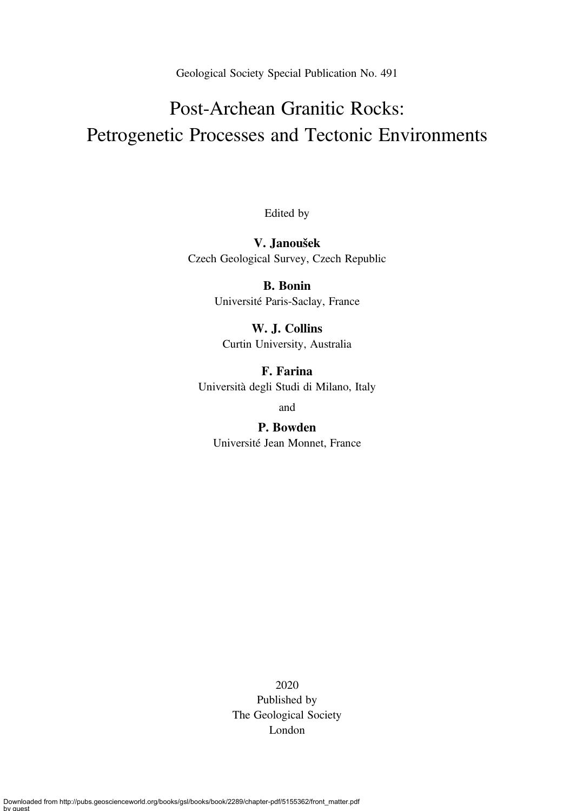Geological Society Special Publication No. 491

# Post-Archean Granitic Rocks: Petrogenetic Processes and Tectonic Environments

Edited by

V. Janoušek Czech Geological Survey, Czech Republic

> B. Bonin Université Paris-Saclay, France

W. J. Collins Curtin University, Australia

F. Farina Università degli Studi di Milano, Italy

and

P. Bowden Université Jean Monnet, France

> 2020 Published by The Geological Society London